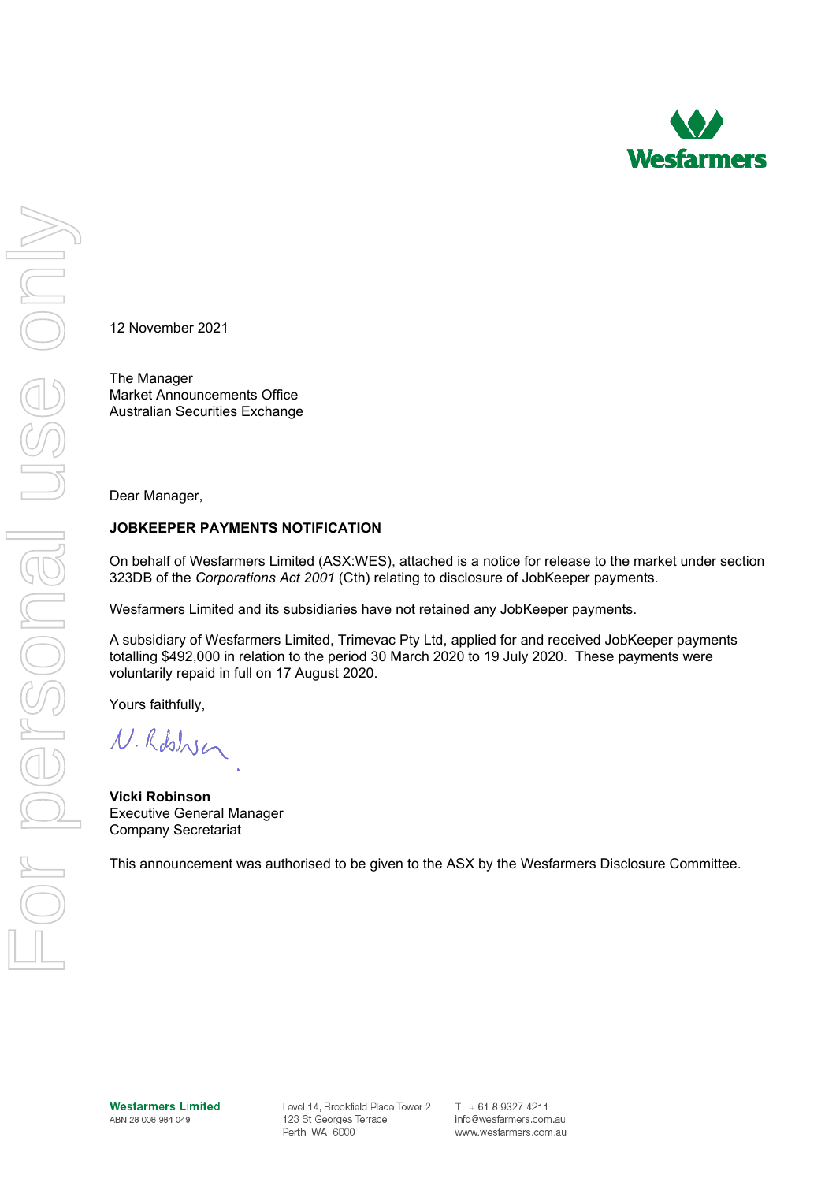

12 November 2021

The Manager Market Announcements Office Australian Securities Exchange

Dear Manager,

## **JOBKEEPER PAYMENTS NOTIFICATION**

On behalf of Wesfarmers Limited (ASX:WES), attached is a notice for release to the market under section 323DB of the *Corporations Act 2001* (Cth) relating to disclosure of JobKeeper payments.

Wesfarmers Limited and its subsidiaries have not retained any JobKeeper payments.

A subsidiary of Wesfarmers Limited, Trimevac Pty Ltd, applied for and received JobKeeper payments totalling \$492,000 in relation to the period 30 March 2020 to 19 July 2020. These payments were voluntarily repaid in full on 17 August 2020.

Yours faithfully,

N. Robbyn

**Vicki Robinson** Executive General Manager Company Secretariat

This announcement was authorised to be given to the ASX by the Wesfarmers Disclosure Committee.

**Wesfarmers Limited** ABN 28 008 984 049

Level 14, Brookfield Place Tower 2 123 St Georges Terrace Perth WA 6000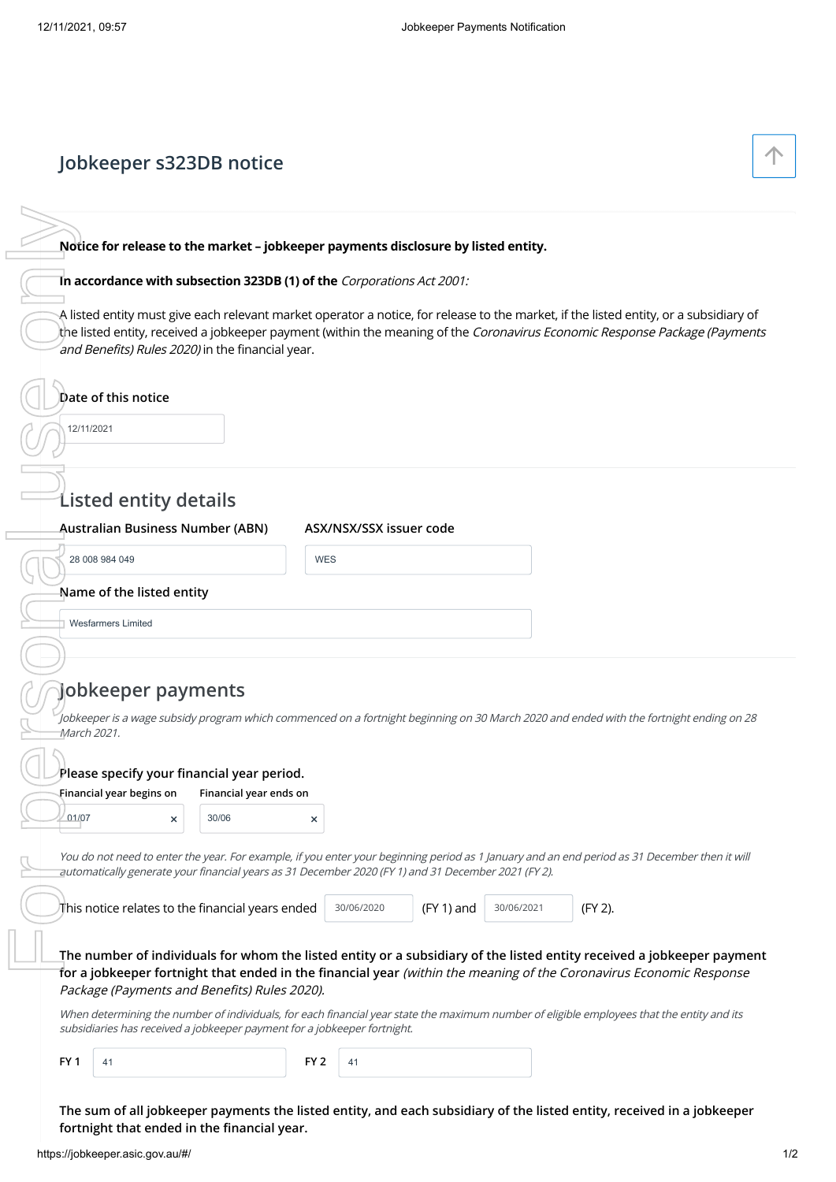# **Jobkeeper s323DB notice**

# **Notice for release to the market – jobkeeper payments disclosure by listed entity.**

### **In accordance with subsection 323DB (1) of the** Corporations Act 2001:

| Tn accordance with subsection 323DB (1) of the Corporations Act 2001:                                                                                   |                        |            |                         |              | Notice for release to the market - jobkeeper payments disclosure by listed entity. | A listed entity must give each relevant market operator a notice, for release to the market, if the listed entity, or a subsidiary of<br>the listed entity, received a jobkeeper payment (within the meaning of the Coronavirus Economic Response Package (Payments |  |  |  |
|---------------------------------------------------------------------------------------------------------------------------------------------------------|------------------------|------------|-------------------------|--------------|------------------------------------------------------------------------------------|---------------------------------------------------------------------------------------------------------------------------------------------------------------------------------------------------------------------------------------------------------------------|--|--|--|
| and Benefits) Rules 2020) in the financial year.<br>Date of this notice<br>12/11/2021                                                                   |                        |            |                         |              |                                                                                    |                                                                                                                                                                                                                                                                     |  |  |  |
| <b>Listed entity details</b>                                                                                                                            |                        |            |                         |              |                                                                                    |                                                                                                                                                                                                                                                                     |  |  |  |
| <b>Australian Business Number (ABN)</b>                                                                                                                 |                        |            | ASX/NSX/SSX issuer code |              |                                                                                    |                                                                                                                                                                                                                                                                     |  |  |  |
| 28 008 984 049                                                                                                                                          |                        | <b>WES</b> |                         |              |                                                                                    |                                                                                                                                                                                                                                                                     |  |  |  |
| Name of the listed entity                                                                                                                               |                        |            |                         |              |                                                                                    |                                                                                                                                                                                                                                                                     |  |  |  |
|                                                                                                                                                         |                        |            |                         |              |                                                                                    |                                                                                                                                                                                                                                                                     |  |  |  |
| <b>Wesfarmers Limited</b>                                                                                                                               |                        |            |                         |              |                                                                                    |                                                                                                                                                                                                                                                                     |  |  |  |
| Jobkeeper payments<br>March 2021.                                                                                                                       |                        |            |                         |              |                                                                                    | Jobkeeper is a wage subsidy program which commenced on a fortnight beginning on 30 March 2020 and ended with the fortnight ending on 28                                                                                                                             |  |  |  |
| Please specify your financial year period.<br>Financial year begins on                                                                                  | Financial year ends on |            |                         |              |                                                                                    |                                                                                                                                                                                                                                                                     |  |  |  |
| 01/07<br>×                                                                                                                                              | 30/06                  | ×          |                         |              |                                                                                    |                                                                                                                                                                                                                                                                     |  |  |  |
|                                                                                                                                                         |                        |            |                         |              |                                                                                    | You do not need to enter the year. For example, if you enter your beginning period as 1 January and an end period as 31 December then it will                                                                                                                       |  |  |  |
| automatically generate your financial years as 31 December 2020 (FY 1) and 31 December 2021 (FY 2).<br>This notice relates to the financial years ended |                        |            | 30/06/2020              | $(FY 1)$ and | 30/06/2021                                                                         | (FY 2).                                                                                                                                                                                                                                                             |  |  |  |
| Package (Payments and Benefits) Rules 2020).                                                                                                            |                        |            |                         |              |                                                                                    | The number of individuals for whom the listed entity or a subsidiary of the listed entity received a jobkeeper payment<br>for a jobkeeper fortnight that ended in the financial year (within the meaning of the Coronavirus Economic Response                       |  |  |  |
| subsidiaries has received a jobkeeper payment for a jobkeeper fortnight.                                                                                |                        |            |                         |              |                                                                                    | When determining the number of individuals, for each financial year state the maximum number of eligible employees that the entity and its                                                                                                                          |  |  |  |

**The sum of all jobkeeper payments the listed entity, and each subsidiary of the listed entity, received in a jobkeeper fortnight that ended in the financial year.**

 $\uparrow$